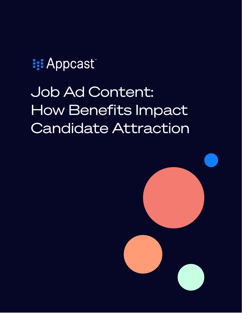**III** Appcast

# Job Ad Content: How Benefits Impact Candidate Attraction

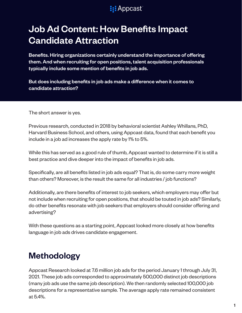# Job Ad Content: How Benefits Impact Candidate Attraction

Benefits. Hiring organizations certainly understand the importance of offering them. And when recruiting for open positions, talent acquisition professionals typically include some mention of benefits in job ads.

But does including benefits in job ads make a difference when it comes to candidate attraction?

The short answer is yes.

Previous research, conducted in 2018 by behavioral scientist Ashley Whillans, PhD, Harvard Business School, and others, using Appcast data, found that each benefit you include in a job ad increases the apply rate by 1% to 5%.

While this has served as a good rule of thumb, Appcast wanted to determine if it is still a best practice and dive deeper into the impact of benefits in job ads.

Specifically, are all benefits listed in job ads equal? That is, do some carry more weight than others? Moreover, is the result the same for all industries / job functions?

Additionally, are there benefits of interest to job seekers, which employers may offer but not include when recruiting for open positions, that should be touted in job ads? Similarly, do other benefits resonate with job seekers that employers should consider offering and advertising?

With these questions as a starting point, Appcast looked more closely at how benefits language in job ads drives candidate engagement.

### Methodology

Appcast Research looked at 7.6 million job ads for the period January 1 through July 31, 2021. These job ads corresponded to approximately 500,000 distinct job descriptions (many job ads use the same job description). We then randomly selected 100,000 job descriptions for a representative sample. The average apply rate remained consistent at 5.4%.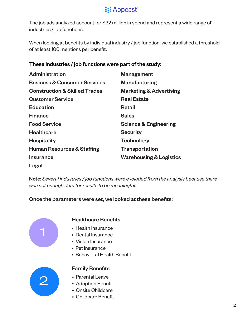The job ads analyzed account for \$32 million in spend and represent a wide range of industries / job functions.

When looking at benefits by individual industry / job function, we established a threshold of at least 100 mentions per benefit.

| <b>Administration</b>                    | <b>Management</b>                  |
|------------------------------------------|------------------------------------|
| <b>Business &amp; Consumer Services</b>  | <b>Manufacturing</b>               |
| <b>Construction &amp; Skilled Trades</b> | <b>Marketing &amp; Advertising</b> |
| <b>Customer Service</b>                  | <b>Real Estate</b>                 |
| <b>Education</b>                         | <b>Retail</b>                      |
| <b>Finance</b>                           | <b>Sales</b>                       |
| <b>Food Service</b>                      | <b>Science &amp; Engineering</b>   |
| <b>Healthcare</b>                        | <b>Security</b>                    |
| <b>Hospitality</b>                       | <b>Technology</b>                  |
| <b>Human Resources &amp; Staffing</b>    | <b>Transportation</b>              |
| <b>Insurance</b>                         | <b>Warehousing &amp; Logistics</b> |
| Legal                                    |                                    |

#### These industries / job functions were part of the study:

Note: *Several industries / job functions were excluded from the analysis because there was not enough data for results to be meaningful*.

#### Once the parameters were set, we looked at these benefits:



#### Healthcare Benefits

- Health Insurance
- Dental Insurance
- Vision Insurance
- Pet Insurance
- Behavioral Health Benefit



#### Family Benefits

- Parental Leave
- Adoption Benefit
- Onsite Childcare
- Childcare Benefit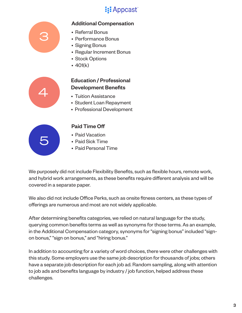#### Additional Compensation



#### • Referral Bonus

- Performance Bonus
- Signing Bonus
- Regular Increment Bonus
- Stock Options
- 401(k)



#### Education / Professional Development Benefits

- Tuition Assistance
- Student Loan Repayment
- Professional Development



#### Paid Time Off

- Paid Vacation
- Paid Sick Time
- Paid Personal Time

We purposely did not include Flexibility Benefits, such as flexible hours, remote work, and hybrid work arrangements, as these benefits require different analysis and will be covered in a separate paper.

We also did not include Office Perks, such as onsite fitness centers, as these types of offerings are numerous and most are not widely applicable.

After determining benefits categories, we relied on natural language for the study, querying common benefits terms as well as synonyms for those terms. As an example, in the Additional Compensation category, synonyms for "signing bonus" included "signon bonus," "sign on bonus," and "hiring bonus."

In addition to accounting for a variety of word choices, there were other challenges with this study. Some employers use the same job description for thousands of jobs; others have a separate job description for each job ad. Random sampling, along with attention to job ads and benefits language by industry / job function, helped address these challenges.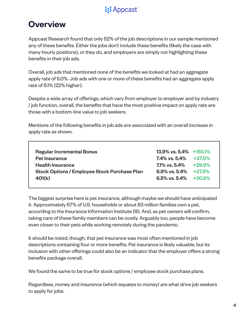### **Overview**

Appcast Research found that only 52% of the job descriptions in our sample mentioned any of these benefits. Either the jobs don't include these benefits (likely the case with many hourly positions), or they do, and employers are simply not highlighting these benefits in their job ads.

Overall, job ads that mentioned none of the benefits we looked at had an aggregate apply rate of 5.0%. Job ads with one or more of these benefits had an aggregate apply rate of 6.1% (22% higher).

Despite a wide array of offerings, which vary from employer to employer and by industry / job function, overall, the benefits that have the most positive impact on apply rate are those with a bottom-line value to job seekers.

Mentions of the following benefits in job ads are associated with an overall increase in apply rate as shown.

| <b>Regular Incremental Bonus</b><br><b>Pet Insurance</b>                                 | $13.9\%$ vs. $5.4\%$ +155.1%<br>$7.4\%$ vs. 5.4% $+37.0\%$                       |  |
|------------------------------------------------------------------------------------------|----------------------------------------------------------------------------------|--|
| <b>Health Insurance</b><br><b>Stock Options / Employee Stock Purchase Plan</b><br>401(k) | $7.1\%$ vs. $5.4\%$ + 29.8%<br>6.9% vs. $5.4\%$ +27.5%<br>6.5% vs. 5.4% $+20.5%$ |  |

The biggest surprise here is pet insurance, although maybe we should have anticipated it. Approximately 67% of U.S. households or about 83 million families own a pet, according to the Insurance Information Institute (III). And, as pet owners will confirm, taking care of these family members can be costly. Arguably too, people have become even closer to their pets while working remotely during the pandemic.

It should be noted, though, that pet insurance was most often mentioned in job descriptions containing four or more benefits. Pet insurance is likely valuable, but its inclusion with other offerings could also be an indicator that the employer offers a strong benefits package overall.

We found the same to be true for stock options / employee stock purchase plans.

Regardless, money and insurance (which equates to money) are what drive job seekers to apply for jobs.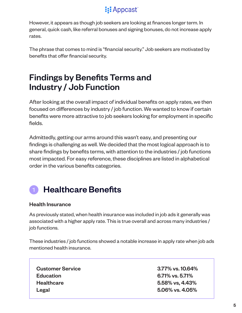However, it appears as though job seekers are looking at finances longer term. In general, quick cash, like referral bonuses and signing bonuses, do not increase apply rates.

The phrase that comes to mind is "financial security." Job seekers are motivated by benefits that offer financial security.

### Findings by Benefits Terms and Industry / Job Function

After looking at the overall impact of individual benefits on apply rates, we then focused on differences by industry / job function. We wanted to know if certain benefits were more attractive to job seekers looking for employment in specific fields.

Admittedly, getting our arms around this wasn't easy, and presenting our findings is challenging as well. We decided that the most logical approach is to share findings by benefits terms, with attention to the industries / job functions most impacted. For easy reference, these disciplines are listed in alphabetical order in the various benefits categories.

# Healthcare Benefits

#### Health Insurance

As previously stated, when health insurance was included in job ads it generally was associated with a higher apply rate. This is true overall and across many industries / job functions.

These industries / job functions showed a notable increase in apply rate when job ads mentioned health insurance.

Customer Service 3.77% vs. 10.64% Education 6.71% vs. 5.71% Healthcare 5.58% vs, 4.43% Legal 5.06% vs. 4.05%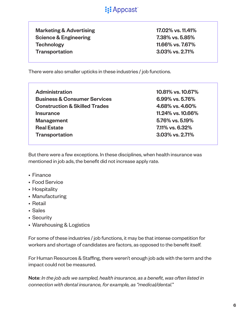Marketing & Advertising 17.02% vs. 11.41% Science & Engineering 7.38% vs. 5.85% Technology 11.66% vs. 7.67% Transportation 3.03% vs. 2.71%

There were also smaller upticks in these industries / job functions.

| 10.81% vs. 10.67% |
|-------------------|
| 6.99% vs. 5.76%   |
| 4.68% vs. 4.60%   |
| 11.24% vs. 10.66% |
| 5.76% vs. 5.19%   |
| 7.11% vs. 6.32%   |
| 3.03% vs. 2.71%   |
|                   |

But there were a few exceptions. In these disciplines, when health insurance was mentioned in job ads, the benefit did not increase apply rate.

- Finance
- Food Service
- Hospitality
- Manufacturing
- Retail
- Sales
- Security
- Warehousing & Logistics

For some of these industries / job functions, it may be that intense competition for workers and shortage of candidates are factors, as opposed to the benefit itself.

For Human Resources & Staffing, there weren't enough job ads with the term and the impact could not be measured.

Note: *In the job ads we sampled, health insurance, as a benefit, was often listed in connection with dental insurance, for example, as "medical/dental.*"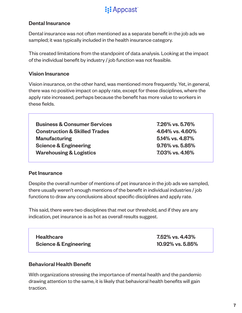#### Dental Insurance

Dental insurance was not often mentioned as a separate benefit in the job ads we sampled; it was typically included in the health insurance category.

This created limitations from the standpoint of data analysis. Looking at the impact of the individual benefit by industry / job function was not feasible.

#### Vision Insurance

Vision insurance, on the other hand, was mentioned more frequently. Yet, in general, there was no positive impact on apply rate, except for these disciplines, where the apply rate increased, perhaps because the benefit has more value to workers in these fields.

Business & Consumer Services 7.26% vs. 5.76% Construction & Skilled Trades 4.64% vs. 4.60% Manufacturing 5.14% vs. 4.87% Science & Engineering 8.76% vs. 5.85% Warehousing & Logistics 7.03% vs. 4.16%

#### Pet Insurance

Despite the overall number of mentions of pet insurance in the job ads we sampled, there usually weren't enough mentions of the benefit in individual industries / job functions to draw any conclusions about specific disciplines and apply rate.

This said, there were two disciplines that met our threshold, and if they are any indication, pet insurance is as hot as overall results suggest.

| <b>Healthcare</b>                | 7.52% vs. 4.43%  |
|----------------------------------|------------------|
| <b>Science &amp; Engineering</b> | 10.92% vs. 5.85% |

#### Behavioral Health Benefit

With organizations stressing the importance of mental health and the pandemic drawing attention to the same, it is likely that behavioral health benefits will gain traction.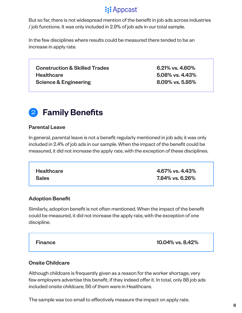But so far, there is not widespread mention of the benefit in job ads across industries / job functions. It was only included in 2.9% of job ads in our total sample.

In the few disciplines where results could be measured there tended to be an increase in apply rate.

Construction & Skilled Trades 6.21% vs. 4.60% Healthcare 5.08% vs. 4.43% Science & Engineering 8.09% vs. 5.85%



#### Parental Leave

In general, parental leave is not a benefit regularly mentioned in job ads; it was only included in 2.4% of job ads in our sample. When the impact of the benefit could be measured, it did not increase the apply rate, with the exception of these disciplines.

| <b>Healthcare</b> | 4.67% vs. 4.43% |
|-------------------|-----------------|
| <b>Sales</b>      | 7.84% vs. 6.26% |

#### Adoption Benefit

Similarly, adoption benefit is not often mentioned. When the impact of the benefit could be measured, it did not increase the apply rate, with the exception of one discipline.

Finance 10.04% vs. 8.42%

#### Onsite Childcare

Although childcare is frequently given as a reason for the worker shortage, very few employers advertise this benefit, if they indeed offer it. In total, only 88 job ads included onsite childcare; 56 of them were in Healthcare.

The sample was too small to effectively measure the impact on apply rate.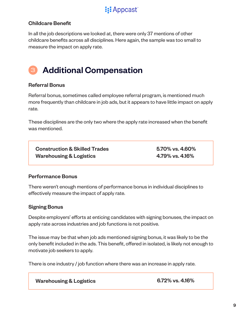

#### Childcare Benefit

In all the job descriptions we looked at, there were only 37 mentions of other childcare benefits across all disciplines. Here again, the sample was too small to measure the impact on apply rate.

#### Additional Compensation 3

#### Referral Bonus

Referral bonus, sometimes called employee referral program, is mentioned much more frequently than childcare in job ads, but it appears to have little impact on apply rate.

These disciplines are the only two where the apply rate increased when the benefit was mentioned.

Construction & Skilled Trades 5.70% vs. 4.60% Warehousing & Logistics 4.79% vs. 4.16%

#### Performance Bonus

There weren't enough mentions of performance bonus in individual disciplines to effectively measure the impact of apply rate.

#### Signing Bonus

Despite employers' efforts at enticing candidates with signing bonuses, the impact on apply rate across industries and job functions is not positive.

The issue may be that when job ads mentioned signing bonus, it was likely to be the only benefit included in the ads. This benefit, offered in isolated, is likely not enough to motivate job seekers to apply.

There is one industry / job function where there was an increase in apply rate.

Warehousing & Logistics

6.72% vs. 4.16%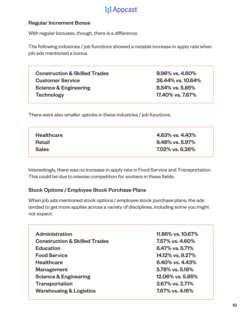#### Regular Increment Bonus

With regular bonuses, though, there is a difference.

The following industries / job functions showed a notable increase in apply rate when job ads mentioned a bonus.

Construction & Skilled Trades 6.96% vs. 4.60% Customer Service 26.44% vs. 10.64% Science & Engineering 8.54% vs. 5.85% Technology 17.40% vs. 7.67%

There were also smaller upticks in these industries / job functions.

| <b>Healthcare</b> | 4.63% vs. 4.43% |
|-------------------|-----------------|
| Retail            | 6.48% vs. 5.97% |
| <b>Sales</b>      | 7.02% vs. 6.26% |

Interestingly, there was no increase in apply rate in Food Service and Transportation. This could be due to intense competition for workers in these fields.

#### Stock Options / Employee Stock Purchase Plans

When job ads mentioned stock options / employee stock purchase plans, the ads tended to get more applies across a variety of disciplines, including some you might not expect.

| <b>Administration</b>                    | 11.86% vs. 10.67%  |
|------------------------------------------|--------------------|
| <b>Construction &amp; Skilled Trades</b> | 7.57% vs. 4.60%    |
| <b>Education</b>                         | $6.47\%$ vs. 5.71% |
| <b>Food Service</b>                      | 14.12% vs. 9.27%   |
| <b>Healthcare</b>                        | 6.40% vs. 4.43%    |
| <b>Management</b>                        | 5.78% vs. 5.19%    |
| <b>Science &amp; Engineering</b>         | 12.06% vs. 5.85%   |
| <b>Transportation</b>                    | 3.67% vs. 2.71%    |
| <b>Warehousing &amp; Logistics</b>       | 7.67% vs. 4.16%    |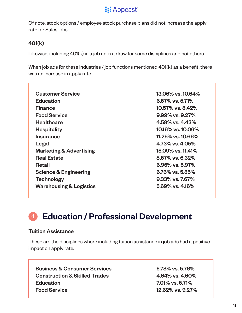

Of note, stock options / employee stock purchase plans did not increase the apply rate for Sales jobs.

#### 401(k)

Likewise, including 401(k) in a job ad is a draw for some disciplines and not others.

When job ads for these industries / job functions mentioned 401(k) as a benefit, there was an increase in apply rate.

| <b>Customer Service</b>            | 13.06% vs. 10.64%     |
|------------------------------------|-----------------------|
| <b>Education</b>                   | 6.57% vs. 5.71%       |
| <b>Finance</b>                     | 10.57% vs. 8.42%      |
| <b>Food Service</b>                | $9.99\%$ vs. $9.27\%$ |
| <b>Healthcare</b>                  | 4.58% vs. 4.43%       |
| <b>Hospitality</b>                 | 10.16% vs. 10.06%     |
| <b>Insurance</b>                   | 11.25% vs. 10.66%     |
| Legal                              | $4.73\%$ vs. $4.05\%$ |
| <b>Marketing &amp; Advertising</b> | 15.09% vs. 11.41%     |
| <b>Real Estate</b>                 | 8.57% vs. 6.32%       |
| Retail                             | $6.95\%$ vs. 5.97%    |
| <b>Science &amp; Engineering</b>   | $6.76\%$ vs. 5.85%    |
| <b>Technology</b>                  | 9.33% vs. 7.67%       |
| <b>Warehousing &amp; Logistics</b> | $5.69\%$ vs. 4.16%    |

#### Education / Professional Development 4

#### Tuition Assistance

These are the disciplines where including tuition assistance in job ads had a positive impact on apply rate.

Business & Consumer Services 6.78% vs. 5.76% Construction & Skilled Trades 4.64% vs. 4.60% Education **2.01%** vs. 5.71% Food Service 12.62% vs. 9.27%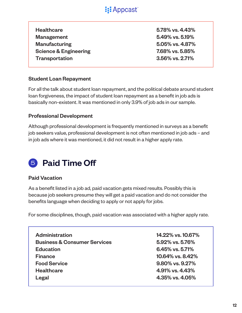| <b>Healthcare</b>                |
|----------------------------------|
| Management                       |
| <b>Manufacturing</b>             |
| <b>Science &amp; Engineering</b> |
| <b>Transportation</b>            |

 $5.78\%$  vs.  $4.43\%$ 5.49% vs. 5.19%  $5.05\%$  vs.  $4.87\%$  $7.68\%$  vs.  $5.85\%$  $3.56\%$  vs.  $2.71\%$ 

#### Student Loan Repayment

For all the talk about student loan repayment, and the political debate around student loan forgiveness, the impact of student loan repayment as a benefit in job ads is basically non-existent. It was mentioned in only 3.9% of job ads in our sample.

#### Professional Development

Although professional development is frequently mentioned in surveys as a benefit job seekers value, professional development is not often mentioned in job ads – and in job ads where it was mentioned, it did not result in a higher apply rate.

## **5** Paid Time Off

#### Paid Vacation

As a benefit listed in a job ad, paid vacation gets mixed results. Possibly this is because job seekers presume they will get a paid vacation and do not consider the benefits language when deciding to apply or not apply for jobs.

For some disciplines, though, paid vacation was associated with a higher apply rate.

Administration 14.22% vs. 10.67% Business & Consumer Services 6.92% vs. 5.76% Education 6.45% vs. 5.71% Finance 10.64% vs. 8.42% Food Service 9.80% vs. 9.27% Healthcare 4.91% vs. 4.43% Legal 4.35% vs. 4.05%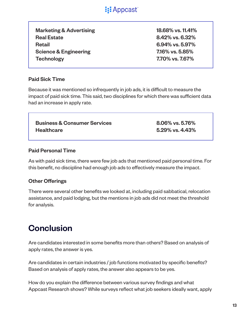

Marketing & Advertising 18.68% vs. 11.41% Real Estate 8.42% vs. 6.32% Retail 6.94% vs. 5.97% Science & Engineering 7.16% vs. 5.85% Technology 7.70% vs. 7.67%

#### Paid Sick Time

Because it was mentioned so infrequently in job ads, it is difficult to measure the impact of paid sick time. This said, two disciplines for which there was sufficient data had an increase in apply rate.

Business & Consumer Services 8.06% vs. 5.76% Healthcare 5.29% vs. 4.43%

#### Paid Personal Time

As with paid sick time, there were few job ads that mentioned paid personal time. For this benefit, no discipline had enough job ads to effectively measure the impact.

#### Other Offerings

There were several other benefits we looked at, including paid sabbatical, relocation assistance, and paid lodging, but the mentions in job ads did not meet the threshold for analysis.

### **Conclusion**

Are candidates interested in some benefits more than others? Based on analysis of apply rates, the answer is yes.

Are candidates in certain industries / job functions motivated by specific benefits? Based on analysis of apply rates, the answer also appears to be yes.

How do you explain the difference between various survey findings and what Appcast Research shows? While surveys reflect what job seekers ideally want, apply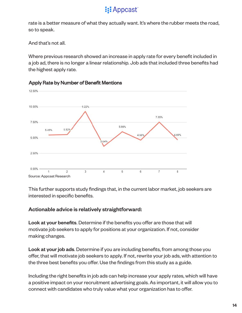### **i:** Appcast

rate is a better measure of what they actually want. It's where the rubber meets the road, so to speak.

And that's not all.

Where previous research showed an increase in apply rate for every benefit included in a job ad, there is no longer a linear relationship. Job ads that included three benefits had the highest apply rate.



Apply Rate by Number of Benefit Mentions

This further supports study findings that, in the current labor market, job seekers are interested in specific benefits.

#### Actionable advice is relatively straightforward:

Look at your benefits. Determine if the benefits you offer are those that will motivate job seekers to apply for positions at your organization. If not, consider making changes.

Look at your job ads. Determine if you are including benefits, from among those you offer, that will motivate job seekers to apply. If not, rewrite your job ads, with attention to the three best benefits you offer. Use the findings from this study as a guide.

Including the right benefits in job ads can help increase your apply rates, which will have a positive impact on your recruitment advertising goals. As important, it will allow you to connect with candidates who truly value what your organization has to offer.